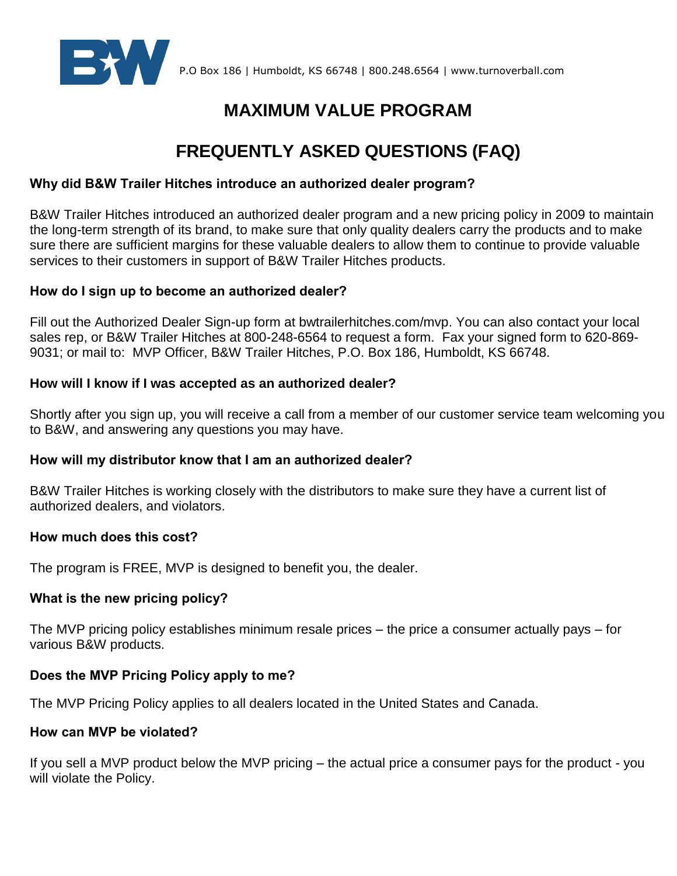

# **MAXIMUM VALUE PROGRAM**

# **FREQUENTLY ASKED QUESTIONS (FAQ)**

# **Why did B&W Trailer Hitches introduce an authorized dealer program?**

B&W Trailer Hitches introduced an authorized dealer program and a new pricing policy in 2009 to maintain the long-term strength of its brand, to make sure that only quality dealers carry the products and to make sure there are sufficient margins for these valuable dealers to allow them to continue to provide valuable services to their customers in support of B&W Trailer Hitches products.

#### **How do I sign up to become an authorized dealer?**

Fill out the Authorized Dealer Sign-up form at bwtrailerhitches.com/mvp. You can also contact your local sales rep, or B&W Trailer Hitches at 800-248-6564 to request a form. Fax your signed form to 620-869- 9031; or mail to: MVP Officer, B&W Trailer Hitches, P.O. Box 186, Humboldt, KS 66748.

#### **How will I know if I was accepted as an authorized dealer?**

Shortly after you sign up, you will receive a call from a member of our customer service team welcoming you to B&W, and answering any questions you may have.

# **How will my distributor know that I am an authorized dealer?**

B&W Trailer Hitches is working closely with the distributors to make sure they have a current list of authorized dealers, and violators.

#### **How much does this cost?**

The program is FREE, MVP is designed to benefit you, the dealer.

# **What is the new pricing policy?**

The MVP pricing policy establishes minimum resale prices – the price a consumer actually pays – for various B&W products.

# **Does the MVP Pricing Policy apply to me?**

The MVP Pricing Policy applies to all dealers located in the United States and Canada.

#### **How can MVP be violated?**

If you sell a MVP product below the MVP pricing – the actual price a consumer pays for the product - you will violate the Policy.